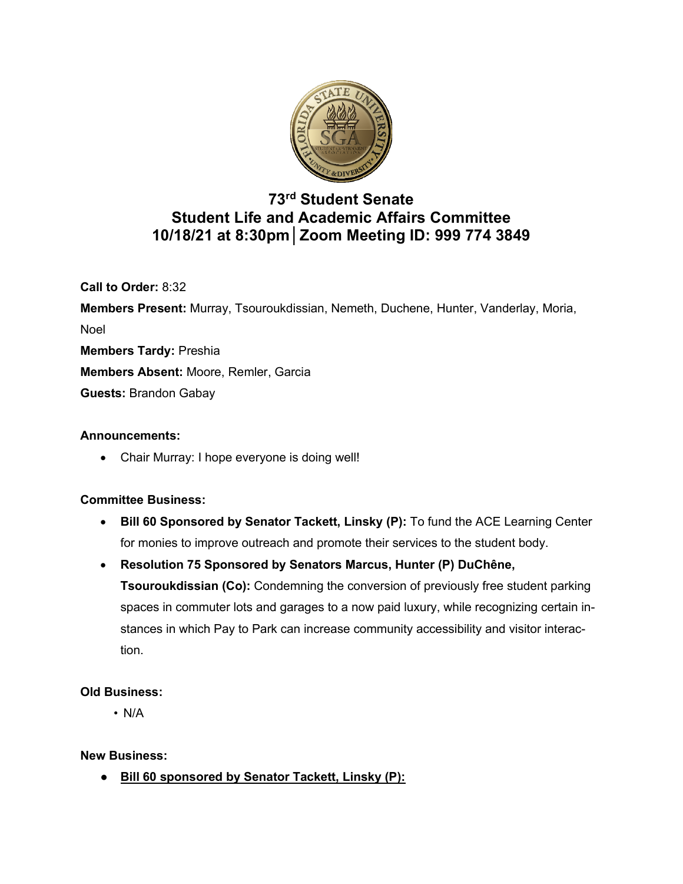

# **73rd Student Senate Student Life and Academic Affairs Committee 10/18/21 at 8:30pm│Zoom Meeting ID: 999 774 3849**

**Call to Order:** 8:32

**Members Present:** Murray, Tsouroukdissian, Nemeth, Duchene, Hunter, Vanderlay, Moria, Noel **Members Tardy:** Preshia **Members Absent:** Moore, Remler, Garcia **Guests:** Brandon Gabay

## **Announcements:**

• Chair Murray: I hope everyone is doing well!

## **Committee Business:**

- **Bill 60 Sponsored by Senator Tackett, Linsky (P):** To fund the ACE Learning Center for monies to improve outreach and promote their services to the student body.
- **Resolution 75 Sponsored by Senators Marcus, Hunter (P) DuChêne, Tsouroukdissian (Co):** Condemning the conversion of previously free student parking spaces in commuter lots and garages to a now paid luxury, while recognizing certain instances in which Pay to Park can increase community accessibility and visitor interaction.

## **Old Business:**

• N/A

**New Business:**

**● Bill 60 sponsored by Senator Tackett, Linsky (P):**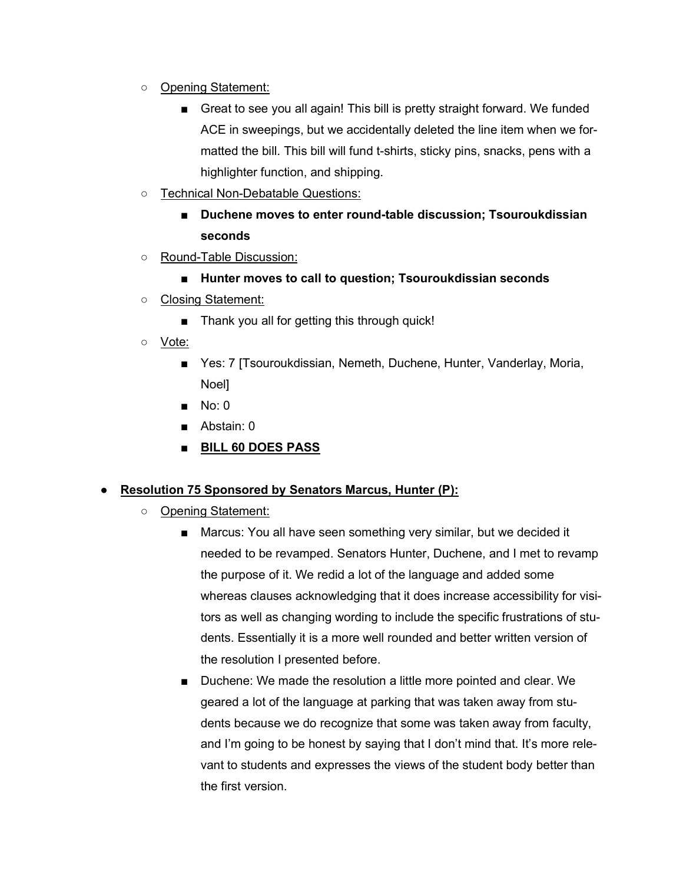- **○** Opening Statement:
	- Great to see you all again! This bill is pretty straight forward. We funded ACE in sweepings, but we accidentally deleted the line item when we formatted the bill. This bill will fund t-shirts, sticky pins, snacks, pens with a highlighter function, and shipping.
- **○** Technical Non-Debatable Questions:
	- **■ Duchene moves to enter round-table discussion; Tsouroukdissian seconds**
- **○** Round-Table Discussion:
	- **■ Hunter moves to call to question; Tsouroukdissian seconds**
- **○** Closing Statement:
	- Thank you all for getting this through quick!
- **○** Vote:
	- Yes: 7 [Tsouroukdissian, Nemeth, Duchene, Hunter, Vanderlay, Moria, Noel]
	- **■** No: 0
	- **■** Abstain: 0
	- **■ BILL 60 DOES PASS**

#### **● Resolution 75 Sponsored by Senators Marcus, Hunter (P):**

- **○** Opening Statement:
	- Marcus: You all have seen something very similar, but we decided it needed to be revamped. Senators Hunter, Duchene, and I met to revamp the purpose of it. We redid a lot of the language and added some whereas clauses acknowledging that it does increase accessibility for visitors as well as changing wording to include the specific frustrations of students. Essentially it is a more well rounded and better written version of the resolution I presented before.
	- Duchene: We made the resolution a little more pointed and clear. We geared a lot of the language at parking that was taken away from students because we do recognize that some was taken away from faculty, and I'm going to be honest by saying that I don't mind that. It's more relevant to students and expresses the views of the student body better than the first version.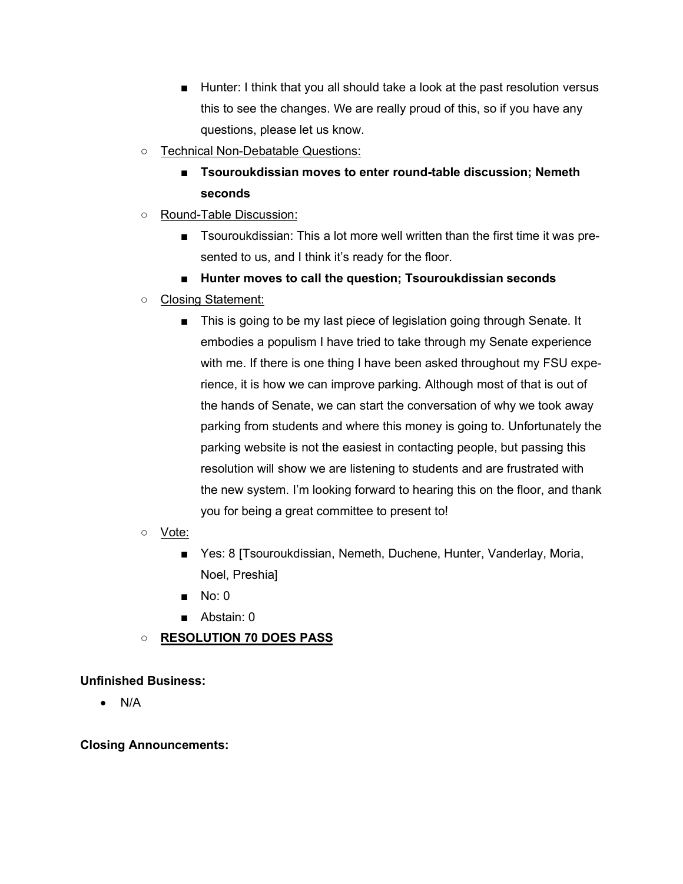- Hunter: I think that you all should take a look at the past resolution versus this to see the changes. We are really proud of this, so if you have any questions, please let us know.
- **○** Technical Non-Debatable Questions:
	- **■ Tsouroukdissian moves to enter round-table discussion; Nemeth seconds**
- **○** Round-Table Discussion:
	- Tsouroukdissian: This a lot more well written than the first time it was presented to us, and I think it's ready for the floor.
	- **■ Hunter moves to call the question; Tsouroukdissian seconds**
- **○** Closing Statement:
	- This is going to be my last piece of legislation going through Senate. It embodies a populism I have tried to take through my Senate experience with me. If there is one thing I have been asked throughout my FSU experience, it is how we can improve parking. Although most of that is out of the hands of Senate, we can start the conversation of why we took away parking from students and where this money is going to. Unfortunately the parking website is not the easiest in contacting people, but passing this resolution will show we are listening to students and are frustrated with the new system. I'm looking forward to hearing this on the floor, and thank you for being a great committee to present to!
- **○** Vote:
	- Yes: 8 [Tsouroukdissian, Nemeth, Duchene, Hunter, Vanderlay, Moria, Noel, Preshia]
	- **■** No: 0
	- **■** Abstain: 0
- **○ RESOLUTION 70 DOES PASS**

## **Unfinished Business:**

• N/A

#### **Closing Announcements:**